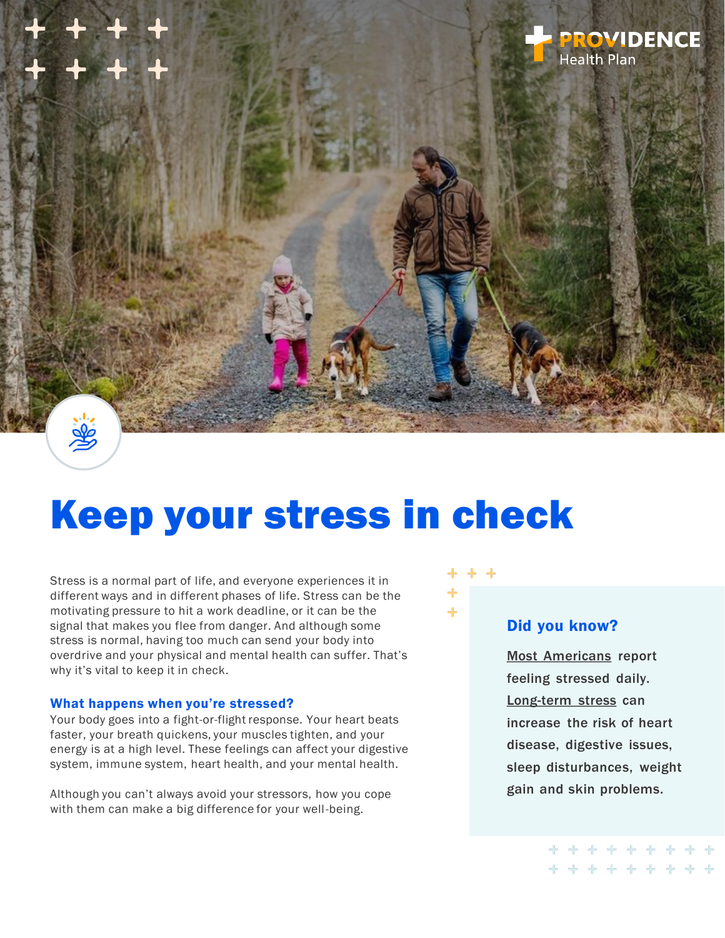

# Keep your stress in check

Stress is a normal part of life, and everyone experiences it in different ways and in different phases of life. Stress can be the motivating pressure to hit a work deadline, or it can be the signal that makes you flee from danger. And although some stress is normal, having too much can send your body into overdrive and your physical and mental health can suffer. That's why it's vital to keep it in check.

#### What happens when you're stressed?

Your body goes into a fight-or-flight response. Your heart beats faster, your breath quickens, your muscles tighten, and your energy is at a high level. These feelings can affect your digestive system, immune system, heart health, and your mental health.

Although you can't always avoid your stressors, how you cope with them can make a big difference for your well-being.



#### Did you know?

[Most Americans](https://www.gallup.com/workplace/349484/state-of-the-global-workplace.aspx) report feeling stressed daily. [Long-term stress](https://www.apa.org/topics/stress/) can increase the risk of heart disease, digestive issues, sleep disturbances, weight gain and skin problems.

> . . . . . . . **++++++++++**